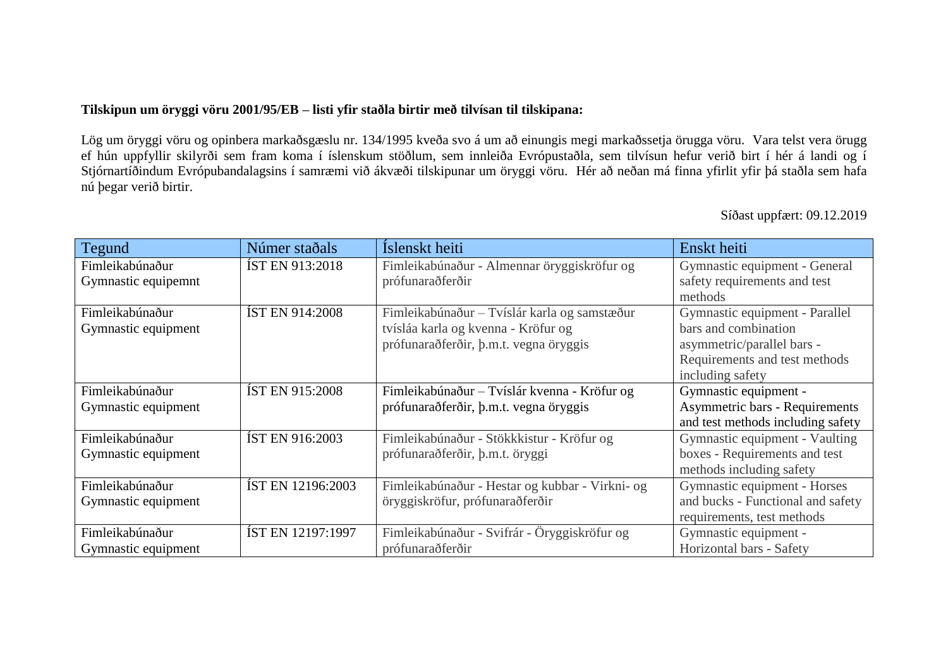## **Tilskipun um öryggi vöru 2001/95/EB – listi yfir staðla birtir með tilvísan til tilskipana:**

Lög um öryggi vöru og opinbera markaðsgæslu nr. 134/1995 kveða svo á um að einungis megi markaðssetja örugga vöru. Vara telst vera örugg ef hún uppfyllir skilyrði sem fram koma í íslenskum stöðlum, sem innleiða Evrópustaðla, sem tilvísun hefur verið birt í hér á landi og í Stjórnartíðindum Evrópubandalagsins í samræmi við ákvæði tilskipunar um öryggi vöru. Hér að neðan má finna yfirlit yfir þá staðla sem hafa nú þegar verið birtir.

Síðast uppfært: 09.12.2019

| Tegund              | Númer staðals            | Íslenskt heiti                                  | Enskt heiti                           |
|---------------------|--------------------------|-------------------------------------------------|---------------------------------------|
| Fimleikabúnaður     | <b>IST EN 913:2018</b>   | Fimleikabúnaður - Almennar öryggiskröfur og     | Gymnastic equipment - General         |
| Gymnastic equipemnt |                          | prófunaraðferðir                                | safety requirements and test          |
|                     |                          |                                                 | methods                               |
| Fimleikabúnaður     | <b>IST EN 914:2008</b>   | Fimleikabúnaður - Tvíslár karla og samstæður    | Gymnastic equipment - Parallel        |
| Gymnastic equipment |                          | tvísláa karla og kvenna - Kröfur og             | bars and combination                  |
|                     |                          | prófunaraðferðir, þ.m.t. vegna öryggis          | asymmetric/parallel bars -            |
|                     |                          |                                                 | Requirements and test methods         |
|                     |                          |                                                 | including safety                      |
| Fimleikabúnaður     | <b>ÍST EN 915:2008</b>   | Fimleikabúnaður - Tvíslár kvenna - Kröfur og    | Gymnastic equipment -                 |
| Gymnastic equipment |                          | prófunaraðferðir, þ.m.t. vegna öryggis          | <b>Asymmetric bars - Requirements</b> |
|                     |                          |                                                 | and test methods including safety     |
| Fimleikabúnaður     | <b>IST EN 916:2003</b>   | Fimleikabúnaður - Stökkkistur - Kröfur og       | Gymnastic equipment - Vaulting        |
| Gymnastic equipment |                          | prófunaraðferðir, þ.m.t. öryggi                 | boxes - Requirements and test         |
|                     |                          |                                                 | methods including safety              |
| Fimleikabúnaður     | <b>IST EN 12196:2003</b> | Fimleikabúnaður - Hestar og kubbar - Virkni- og | Gymnastic equipment - Horses          |
| Gymnastic equipment |                          | öryggiskröfur, prófunaraðferðir                 | and bucks - Functional and safety     |
|                     |                          |                                                 | requirements, test methods            |
| Fimleikabúnaður     | IST EN 12197:1997        | Fimleikabúnaður - Svifrár - Öryggiskröfur og    | Gymnastic equipment -                 |
| Gymnastic equipment |                          | prófunaraðferðir                                | Horizontal bars - Safety              |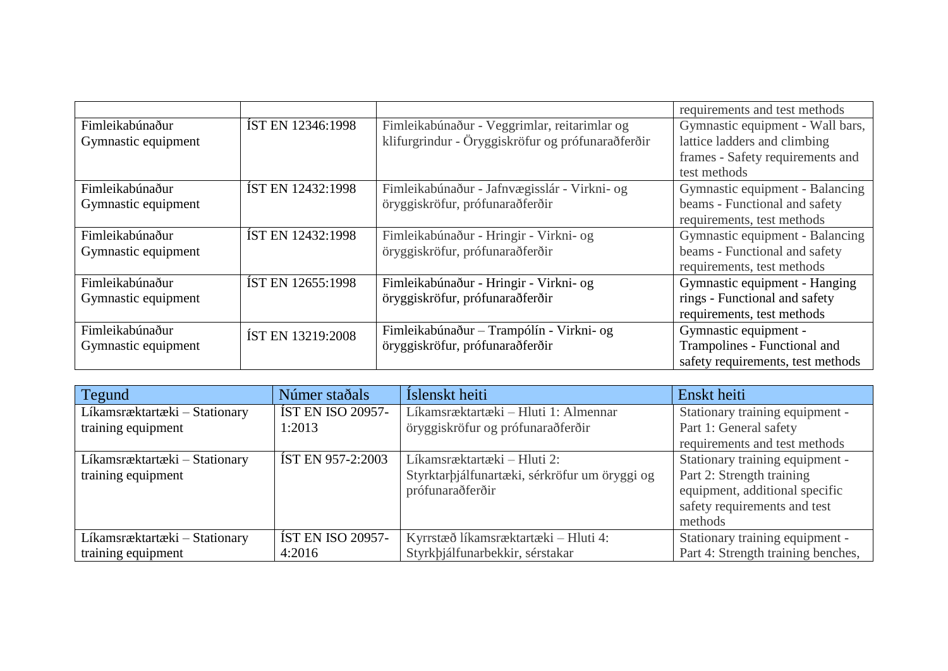|                     |                          |                                                   | requirements and test methods     |
|---------------------|--------------------------|---------------------------------------------------|-----------------------------------|
| Fimleikabúnaður     | IST EN 12346:1998        | Fimleikabúnaður - Veggrimlar, reitarimlar og      | Gymnastic equipment - Wall bars,  |
| Gymnastic equipment |                          | klifurgrindur - Öryggiskröfur og prófunaraðferðir | lattice ladders and climbing      |
|                     |                          |                                                   | frames - Safety requirements and  |
|                     |                          |                                                   | test methods                      |
| Fimleikabúnaður     | <b>IST EN 12432:1998</b> | Fimleikabúnaður - Jafnvægisslár - Virkni- og      | Gymnastic equipment - Balancing   |
| Gymnastic equipment |                          | öryggiskröfur, prófunaraðferðir                   | beams - Functional and safety     |
|                     |                          |                                                   | requirements, test methods        |
| Fimleikabúnaður     | IST EN 12432:1998        | Fimleikabúnaður - Hringir - Virkni- og            | Gymnastic equipment - Balancing   |
| Gymnastic equipment |                          | öryggiskröfur, prófunaraðferðir                   | beams - Functional and safety     |
|                     |                          |                                                   | requirements, test methods        |
| Fimleikabúnaður     | <b>ÍST EN 12655:1998</b> | Fimleikabúnaður - Hringir - Virkni- og            | Gymnastic equipment - Hanging     |
| Gymnastic equipment |                          | öryggiskröfur, prófunaraðferðir                   | rings - Functional and safety     |
|                     |                          |                                                   | requirements, test methods        |
| Fimleikabúnaður     | IST EN 13219:2008        | Fimleikabúnaður - Trampólín - Virkni- og          | Gymnastic equipment -             |
| Gymnastic equipment |                          | öryggiskröfur, prófunaraðferðir                   | Trampolines - Functional and      |
|                     |                          |                                                   | safety requirements, test methods |

| Tegund                        | Númer staðals            | Íslenskt heiti                                | Enskt heiti                        |
|-------------------------------|--------------------------|-----------------------------------------------|------------------------------------|
| Líkamsræktartæki - Stationary | <b>ÍST EN ISO 20957-</b> | Líkamsræktartæki – Hluti 1: Almennar          | Stationary training equipment -    |
| training equipment            | 1:2013                   | öryggiskröfur og prófunaraðferðir             | Part 1: General safety             |
|                               |                          |                                               | requirements and test methods      |
| Líkamsræktartæki – Stationary | <b>IST EN 957-2:2003</b> | Líkamsræktartæki – Hluti 2:                   | Stationary training equipment -    |
| training equipment            |                          | Styrktarbjálfunartæki, sérkröfur um öryggi og | Part 2: Strength training          |
|                               |                          | prófunaraðferðir                              | equipment, additional specific     |
|                               |                          |                                               | safety requirements and test       |
|                               |                          |                                               | methods                            |
| Líkamsræktartæki – Stationary | <b>ÍST EN ISO 20957-</b> | Kyrrstæð líkamsræktartæki – Hluti 4:          | Stationary training equipment -    |
| training equipment            | 4:2016                   | Styrkþjálfunarbekkir, sérstakar               | Part 4: Strength training benches, |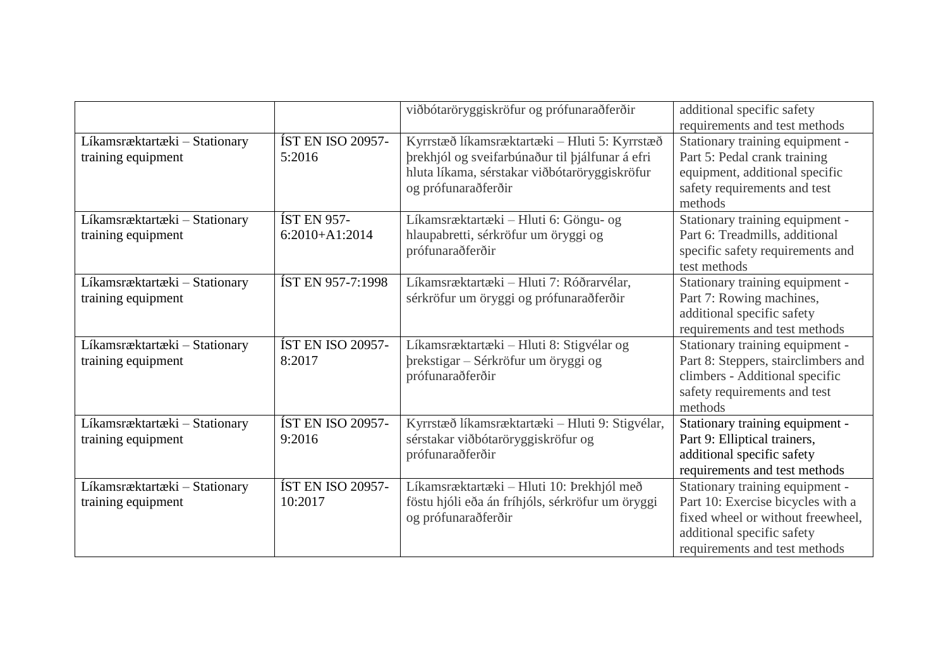|                                                     |                                        | viðbótaröryggiskröfur og prófunaraðferðir                                                                                                                                | additional specific safety<br>requirements and test methods                                                                                                              |
|-----------------------------------------------------|----------------------------------------|--------------------------------------------------------------------------------------------------------------------------------------------------------------------------|--------------------------------------------------------------------------------------------------------------------------------------------------------------------------|
| Líkamsræktartæki - Stationary<br>training equipment | <b>ÍST EN ISO 20957-</b><br>5:2016     | Kyrrstæð líkamsræktartæki - Hluti 5: Kyrrstæð<br>þrekhjól og sveifarbúnaður til þjálfunar á efri<br>hluta líkama, sérstakar viðbótaröryggiskröfur<br>og prófunaraðferðir | Stationary training equipment -<br>Part 5: Pedal crank training<br>equipment, additional specific<br>safety requirements and test<br>methods                             |
| Líkamsræktartæki - Stationary<br>training equipment | <b>ÍST EN 957-</b><br>$6:2010+A1:2014$ | Líkamsræktartæki - Hluti 6: Göngu- og<br>hlaupabretti, sérkröfur um öryggi og<br>prófunaraðferðir                                                                        | Stationary training equipment -<br>Part 6: Treadmills, additional<br>specific safety requirements and<br>test methods                                                    |
| Líkamsræktartæki - Stationary<br>training equipment | <b>ÍST EN 957-7:1998</b>               | Líkamsræktartæki - Hluti 7: Róðrarvélar,<br>sérkröfur um öryggi og prófunaraðferðir                                                                                      | Stationary training equipment -<br>Part 7: Rowing machines,<br>additional specific safety<br>requirements and test methods                                               |
| Líkamsræktartæki - Stationary<br>training equipment | <b>ÍST EN ISO 20957-</b><br>8:2017     | Líkamsræktartæki - Hluti 8: Stigvélar og<br>þrekstigar - Sérkröfur um öryggi og<br>prófunaraðferðir                                                                      | Stationary training equipment -<br>Part 8: Steppers, stairclimbers and<br>climbers - Additional specific<br>safety requirements and test<br>methods                      |
| Líkamsræktartæki - Stationary<br>training equipment | <b>ÍST EN ISO 20957-</b><br>9:2016     | Kyrrstæð líkamsræktartæki - Hluti 9: Stigvélar,<br>sérstakar viðbótaröryggiskröfur og<br>prófunaraðferðir                                                                | Stationary training equipment -<br>Part 9: Elliptical trainers,<br>additional specific safety<br>requirements and test methods                                           |
| Líkamsræktartæki - Stationary<br>training equipment | <b>ÍST EN ISO 20957-</b><br>10:2017    | Líkamsræktartæki - Hluti 10: Þrekhjól með<br>föstu hjóli eða án fríhjóls, sérkröfur um öryggi<br>og prófunaraðferðir                                                     | Stationary training equipment -<br>Part 10: Exercise bicycles with a<br>fixed wheel or without freewheel,<br>additional specific safety<br>requirements and test methods |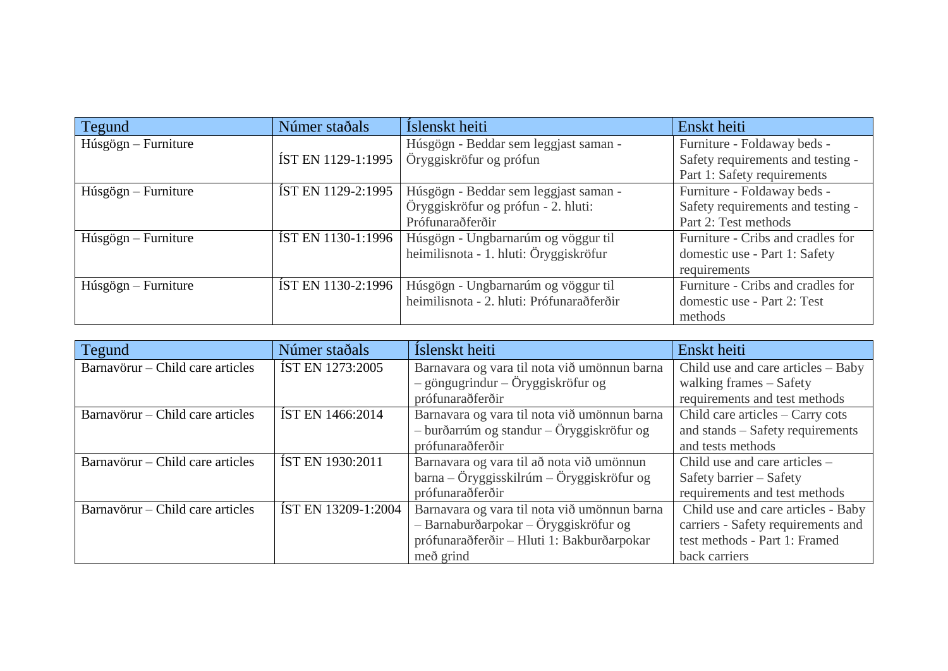| Tegund                | Númer staðals             | Íslenskt heiti                            | Enskt heiti                       |
|-----------------------|---------------------------|-------------------------------------------|-----------------------------------|
| $Húsgögn - Furniture$ |                           | Húsgögn - Beddar sem leggjast saman -     | Furniture - Foldaway beds -       |
|                       | <b>ÍST EN 1129-1:1995</b> | Öryggiskröfur og prófun                   | Safety requirements and testing - |
|                       |                           |                                           | Part 1: Safety requirements       |
| $Húsgögn - Furniture$ | <b>ÍST EN 1129-2:1995</b> | Húsgögn - Beddar sem leggjast saman -     | Furniture - Foldaway beds -       |
|                       |                           | Öryggiskröfur og prófun - 2. hluti:       | Safety requirements and testing - |
|                       |                           | Prófunaraðferðir                          | Part 2: Test methods              |
| $Húsgögn - Furniture$ | <b>ÍST EN 1130-1:1996</b> | Húsgögn - Ungbarnarúm og vöggur til       | Furniture - Cribs and cradles for |
|                       |                           | heimilisnota - 1. hluti: Öryggiskröfur    | domestic use - Part 1: Safety     |
|                       |                           |                                           | requirements                      |
| $Húsgögn - Furniture$ | <b>ÍST EN 1130-2:1996</b> | Húsgögn - Ungbarnarúm og vöggur til       | Furniture - Cribs and cradles for |
|                       |                           | heimilisnota - 2. hluti: Prófunaraðferðir | domestic use - Part 2: Test       |
|                       |                           |                                           | methods                           |

| Tegund                           | Númer staðals           | Íslenskt heiti                                | Enskt heiti                        |
|----------------------------------|-------------------------|-----------------------------------------------|------------------------------------|
| Barnavörur – Child care articles | <b>IST EN 1273:2005</b> | Barnavara og vara til nota við umönnun barna  | Child use and care articles – Baby |
|                                  |                         | $-$ göngugrindur $-$ Öryggiskröfur og         | walking frames - Safety            |
|                                  |                         | prófunaraðferðir                              | requirements and test methods      |
| Barnavörur – Child care articles | <b>IST EN 1466:2014</b> | Barnavara og vara til nota við umönnun barna  | Child care articles - Carry cots   |
|                                  |                         | $-$ burðarrúm og standur $-$ Öryggiskröfur og | and stands – Safety requirements   |
|                                  |                         | prófunaraðferðir                              | and tests methods                  |
| Barnavörur – Child care articles | <b>IST EN 1930:2011</b> | Barnavara og vara til að nota við umönnun     | Child use and care articles -      |
|                                  |                         | $barna - Öryggisskilrúm - Öryggiskröfur og$   | Safety barrier - Safety            |
|                                  |                         | prófunaraðferðir                              | requirements and test methods      |
| Barnavörur – Child care articles | IST EN 13209-1:2004     | Barnavara og vara til nota við umönnun barna  | Child use and care articles - Baby |
|                                  |                         | - Barnaburðarpokar - Öryggiskröfur og         | carriers - Safety requirements and |
|                                  |                         | prófunaraðferðir - Hluti 1: Bakburðarpokar    | test methods - Part 1: Framed      |
|                                  |                         | með grind                                     | back carriers                      |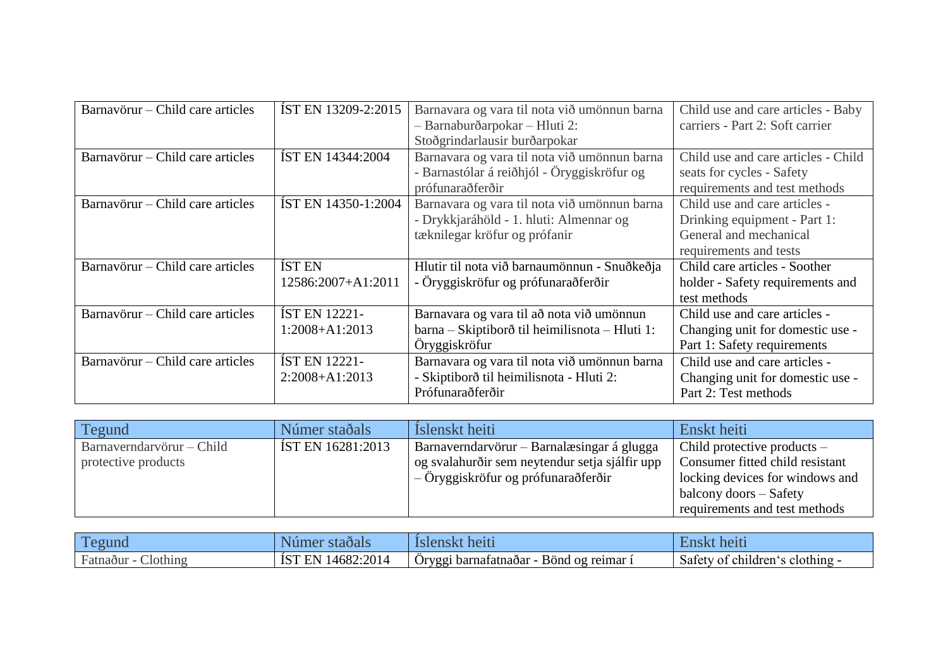| Barnavörur – Child care articles | IST EN 13209-2:2015        | Barnavara og vara til nota við umönnun barna   | Child use and care articles - Baby  |
|----------------------------------|----------------------------|------------------------------------------------|-------------------------------------|
|                                  |                            | - Barnaburðarpokar - Hluti 2:                  | carriers - Part 2: Soft carrier     |
|                                  |                            | Stoðgrindarlausir burðarpokar                  |                                     |
| Barnavörur – Child care articles | ÍST EN 14344:2004          | Barnavara og vara til nota við umönnun barna   | Child use and care articles - Child |
|                                  |                            | - Barnastólar á reiðhjól - Öryggiskröfur og    | seats for cycles - Safety           |
|                                  |                            | prófunaraðferðir                               | requirements and test methods       |
| Barnavörur – Child care articles | <b>ÍST EN 14350-1:2004</b> | Barnavara og vara til nota við umönnun barna   | Child use and care articles -       |
|                                  |                            | - Drykkjaráhöld - 1. hluti: Almennar og        | Drinking equipment - Part 1:        |
|                                  |                            | tæknilegar kröfur og prófanir                  | General and mechanical              |
|                                  |                            |                                                | requirements and tests              |
| Barnavörur – Child care articles | <b>IST EN</b>              | Hlutir til nota við barnaumönnun - Snuðkeðja   | Child care articles - Soother       |
|                                  | 12586:2007+A1:2011         | - Öryggiskröfur og prófunaraðferðir            | holder - Safety requirements and    |
|                                  |                            |                                                | test methods                        |
| Barnavörur – Child care articles | <b>ÍST EN 12221-</b>       | Barnavara og vara til að nota við umönnun      | Child use and care articles -       |
|                                  | 1:2008+A1:2013             | barna – Skiptiborð til heimilisnota – Hluti 1: | Changing unit for domestic use -    |
|                                  |                            | Öryggiskröfur                                  | Part 1: Safety requirements         |
| Barnavörur – Child care articles | <b>IST EN 12221-</b>       | Barnavara og vara til nota við umönnun barna   | Child use and care articles -       |
|                                  | $2:2008+A1:2013$           | - Skiptiborð til heimilisnota - Hluti 2:       | Changing unit for domestic use -    |
|                                  |                            | Prófunaraðferðir                               | Part 2: Test methods                |

| Tegund                                           | Númer staðals     | Islenskt heiti                                                                                                                      | Enskt heiti                                                                                                                                                    |
|--------------------------------------------------|-------------------|-------------------------------------------------------------------------------------------------------------------------------------|----------------------------------------------------------------------------------------------------------------------------------------------------------------|
| Barnaverndarvörur – Child<br>protective products | IST EN 16281:2013 | Barnaverndarvörur – Barnalæsingar á glugga<br>og svalahurðir sem neytendur setja sjálfir upp<br>– Öryggiskröfur og prófunaraðferðir | Child protective products $-$<br>Consumer fitted child resistant<br>locking devices for windows and<br>balcony doors – Safety<br>requirements and test methods |

| $\mathbf{m}$<br>egund                        | staoais                         | heiti                                                              | neiti                                  |
|----------------------------------------------|---------------------------------|--------------------------------------------------------------------|----------------------------------------|
| $\blacksquare$<br>Jothing<br><b>Fatnadur</b> | 14682<br>:2014<br>10 I<br>الأسد | $\cdot \cdot$<br>Bönd og reimar<br>-barnatatnaðar<br>Oryqg<br>J UC | Safety<br>clothing<br>children'<br>. വ |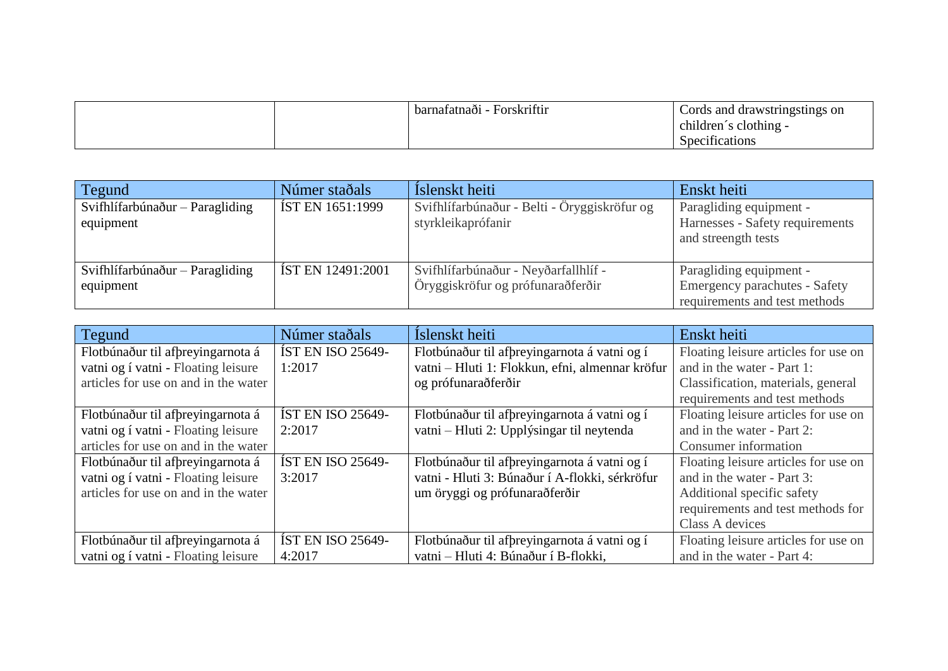|  | Forskriftir<br>barnafatnaði | Cords and drawstringstings on<br>children's clothing - |
|--|-----------------------------|--------------------------------------------------------|
|  |                             | Specifications                                         |

| Tegund                                         | Númer staðals            | Islenskt heiti                                                            | Enskt heiti                                                                               |
|------------------------------------------------|--------------------------|---------------------------------------------------------------------------|-------------------------------------------------------------------------------------------|
| Svifhlífarbúnaður - Paragliding<br>equipment   | <b>IST EN 1651:1999</b>  | Svifhlífarbúnaður - Belti - Öryggiskröfur og<br>styrkleikaprófanir        | Paragliding equipment -<br>Harnesses - Safety requirements<br>and streength tests         |
| Svifhlífarbúnaður $-$ Paragliding<br>equipment | <b>IST EN 12491:2001</b> | Svifhlífarbúnaður - Neyðarfallhlíf -<br>Öryggiskröfur og prófunaraðferðir | Paragliding equipment -<br>Emergency parachutes - Safety<br>requirements and test methods |

| Tegund                               | Númer staðals            | Íslenskt heiti                                  | Enskt heiti                          |
|--------------------------------------|--------------------------|-------------------------------------------------|--------------------------------------|
| Flotbúnaður til afþreyingarnota á    | <b>IST EN ISO 25649-</b> | Flotbúnaður til afþreyingarnota á vatni og í    | Floating leisure articles for use on |
| vatni og í vatni - Floating leisure  | 1:2017                   | vatni - Hluti 1: Flokkun, efni, almennar kröfur | and in the water - Part 1:           |
| articles for use on and in the water |                          | og prófunaraðferðir                             | Classification, materials, general   |
|                                      |                          |                                                 | requirements and test methods        |
| Flotbúnaður til afþreyingarnota á    | <b>IST EN ISO 25649-</b> | Flotbúnaður til afþreyingarnota á vatni og í    | Floating leisure articles for use on |
| vatni og í vatni - Floating leisure  | 2:2017                   | vatni – Hluti 2: Upplýsingar til neytenda       | and in the water - Part 2:           |
| articles for use on and in the water |                          |                                                 | Consumer information                 |
| Flotbúnaður til afþreyingarnota á    | <b>IST EN ISO 25649-</b> | Flotbúnaður til afþreyingarnota á vatni og í    | Floating leisure articles for use on |
| vatni og í vatni - Floating leisure  | 3:2017                   | vatni - Hluti 3: Búnaður í A-flokki, sérkröfur  | and in the water - Part 3:           |
| articles for use on and in the water |                          | um öryggi og prófunaraðferðir                   | Additional specific safety           |
|                                      |                          |                                                 | requirements and test methods for    |
|                                      |                          |                                                 | Class A devices                      |
| Flotbúnaður til afþreyingarnota á    | <b>IST EN ISO 25649-</b> | Flotbúnaður til afþreyingarnota á vatni og í    | Floating leisure articles for use on |
| vatni og í vatni - Floating leisure  | 4:2017                   | vatni - Hluti 4: Búnaður í B-flokki,            | and in the water - Part 4:           |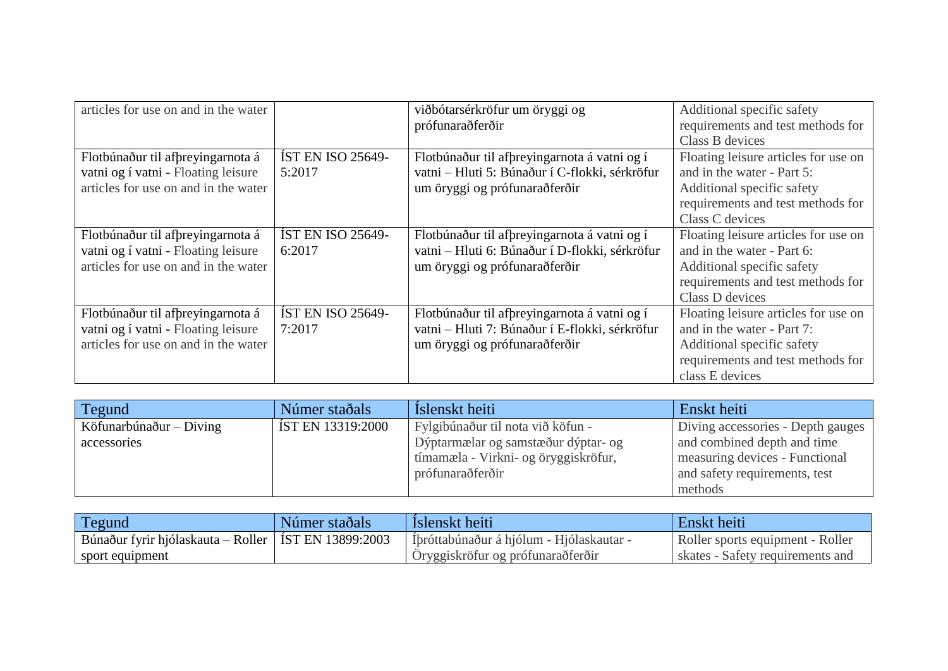| articles for use on and in the water |                          | viðbótarsérkröfur um öryggi og                 | Additional specific safety           |
|--------------------------------------|--------------------------|------------------------------------------------|--------------------------------------|
|                                      |                          | prófunaraðferðir                               | requirements and test methods for    |
|                                      |                          |                                                | Class B devices                      |
| Flotbúnaður til afþreyingarnota á    | <b>ÍST EN ISO 25649-</b> | Flotbúnaður til afþreyingarnota á vatni og í   | Floating leisure articles for use on |
| vatni og í vatni - Floating leisure  | 5:2017                   | vatni – Hluti 5: Búnaður í C-flokki, sérkröfur | and in the water - Part 5:           |
| articles for use on and in the water |                          | um öryggi og prófunaraðferðir                  | Additional specific safety           |
|                                      |                          |                                                | requirements and test methods for    |
|                                      |                          |                                                | Class C devices                      |
| Flotbúnaður til afþreyingarnota á    | <b>ÍST EN ISO 25649-</b> | Flotbúnaður til afþreyingarnota á vatni og í   | Floating leisure articles for use on |
| vatni og í vatni - Floating leisure  | 6:2017                   | vatni - Hluti 6: Búnaður í D-flokki, sérkröfur | and in the water - Part 6:           |
| articles for use on and in the water |                          | um öryggi og prófunaraðferðir                  | Additional specific safety           |
|                                      |                          |                                                | requirements and test methods for    |
|                                      |                          |                                                | Class D devices                      |
| Flotbúnaður til afþreyingarnota á    | <b>ÍST EN ISO 25649-</b> | Flotbúnaður til afþreyingarnota á vatni og í   | Floating leisure articles for use on |
| vatni og í vatni - Floating leisure  | 7:2017                   | vatni - Hluti 7: Búnaður í E-flokki, sérkröfur | and in the water - Part 7:           |
| articles for use on and in the water |                          | um öryggi og prófunaraðferðir                  | Additional specific safety           |
|                                      |                          |                                                | requirements and test methods for    |
|                                      |                          |                                                | class E devices                      |

| Tegund                    | Númer staðals     | Islenskt heiti                       | Enskt heiti                       |
|---------------------------|-------------------|--------------------------------------|-----------------------------------|
| Köfunarbúnaður $-$ Diving | ÍST EN 13319:2000 | Fylgibúnaður til nota við köfun -    | Diving accessories - Depth gauges |
| accessories               |                   | Dýptarmælar og samstæður dýptar- og  | and combined depth and time       |
|                           |                   | tímamæla - Virkni- og öryggiskröfur, | measuring devices - Functional    |
|                           |                   | prófunaraðferðir                     | and safety requirements, test     |
|                           |                   |                                      | methods                           |

| <b>Tegund</b>                                          | Númer staðals | Islenskt heiti                           | Enskt heiti                      |
|--------------------------------------------------------|---------------|------------------------------------------|----------------------------------|
| Búnaður fyrir hjólaskauta – Roller   ÍST EN 13899:2003 |               | Íþróttabúnaður á hjólum - Hjólaskautar - | Roller sports equipment - Roller |
| sport equipment                                        |               | Öryggiskröfur og prófunarað ferðir       | skates - Safety requirements and |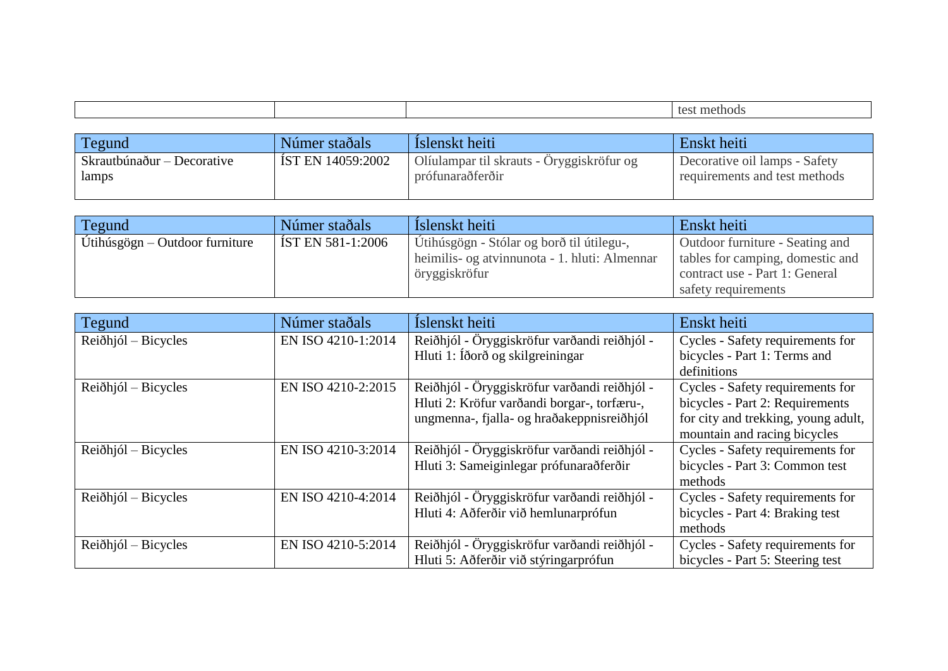| Tegund                     | Númer staðals     | Islenskt heiti                            | Enskt heiti                   |
|----------------------------|-------------------|-------------------------------------------|-------------------------------|
| Skrautbúnaður – Decorative | IST EN 14059:2002 | Olíulampar til skrauts - Oryggiskröfur og | Decorative oil lamps - Safety |
| lamps                      |                   | prófunaraðferðir                          | requirements and test methods |

| Tegund                           | Númer staðals       | Islenskt heiti                                | Enskt heiti                      |
|----------------------------------|---------------------|-----------------------------------------------|----------------------------------|
| Utihúsgögn $-$ Outdoor furniture | [ ÍST EN 581-1:2006 | Utihúsgögn - Stólar og borð til útilegu-,     | Outdoor furniture - Seating and  |
|                                  |                     | heimilis- og atvinnunota - 1. hluti: Almennar | tables for camping, domestic and |
|                                  |                     | öryggiskröfur                                 | contract use - Part 1: General   |
|                                  |                     |                                               | safety requirements              |

| Tegund                        | Númer staðals      | Íslenskt heiti                               | Enskt heiti                         |
|-------------------------------|--------------------|----------------------------------------------|-------------------------------------|
| Reiðhjól – Bicycles           | EN ISO 4210-1:2014 | Reiðhjól - Öryggiskröfur varðandi reiðhjól - | Cycles - Safety requirements for    |
|                               |                    | Hluti 1: Íðorð og skilgreiningar             | bicycles - Part 1: Terms and        |
|                               |                    |                                              | definitions                         |
| $Rei\delta\h$ hjól – Bicycles | EN ISO 4210-2:2015 | Reiðhjól - Öryggiskröfur varðandi reiðhjól - | Cycles - Safety requirements for    |
|                               |                    | Hluti 2: Kröfur varðandi borgar-, torfæru-,  | bicycles - Part 2: Requirements     |
|                               |                    | ungmenna-, fjalla- og hraðakeppnisreiðhjól   | for city and trekking, young adult, |
|                               |                    |                                              | mountain and racing bicycles        |
| $Rei\delta\h$ hjól – Bicycles | EN ISO 4210-3:2014 | Reiðhjól - Öryggiskröfur varðandi reiðhjól - | Cycles - Safety requirements for    |
|                               |                    | Hluti 3: Sameiginlegar prófunaraðferðir      | bicycles - Part 3: Common test      |
|                               |                    |                                              | methods                             |
| $Rei\delta\h$ hjól – Bicycles | EN ISO 4210-4:2014 | Reiðhjól - Öryggiskröfur varðandi reiðhjól - | Cycles - Safety requirements for    |
|                               |                    | Hluti 4: Aðferðir við hemlunarprófun         | bicycles - Part 4: Braking test     |
|                               |                    |                                              | methods                             |
| $Rei\delta\h$ hjól – Bicycles | EN ISO 4210-5:2014 | Reiðhjól - Öryggiskröfur varðandi reiðhjól - | Cycles - Safety requirements for    |
|                               |                    | Hluti 5: Aðferðir við stýringarprófun        | bicycles - Part 5: Steering test    |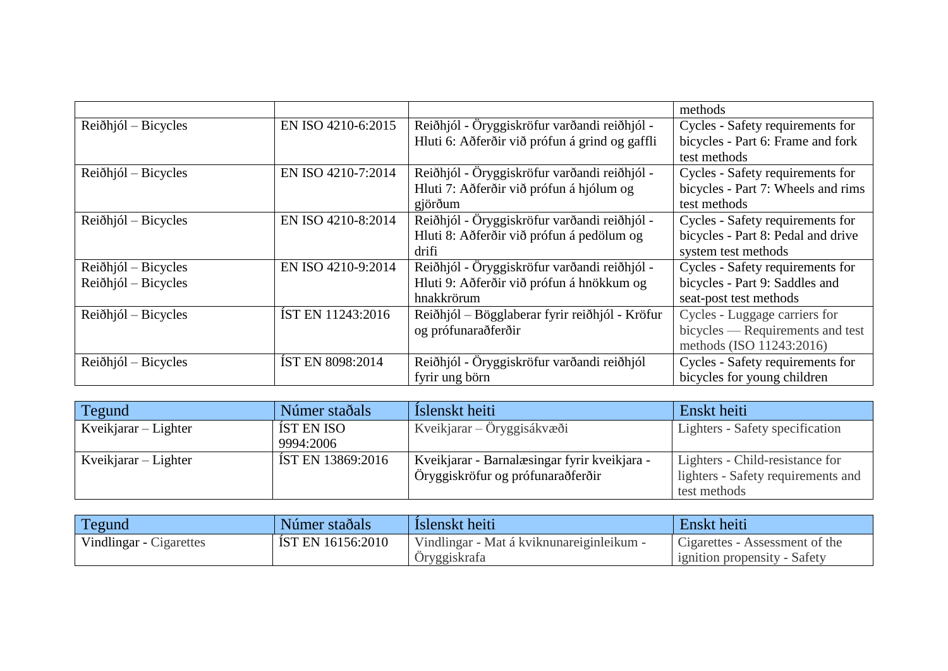|                               |                         |                                                | methods                            |
|-------------------------------|-------------------------|------------------------------------------------|------------------------------------|
| $Rei\delta\h$ hjól – Bicycles | EN ISO 4210-6:2015      | Reiðhjól - Öryggiskröfur varðandi reiðhjól -   | Cycles - Safety requirements for   |
|                               |                         | Hluti 6: Aðferðir við prófun á grind og gaffli | bicycles - Part 6: Frame and fork  |
|                               |                         |                                                | test methods                       |
| $Rei\delta\h$ hjól – Bicycles | EN ISO 4210-7:2014      | Reiðhjól - Öryggiskröfur varðandi reiðhjól -   | Cycles - Safety requirements for   |
|                               |                         | Hluti 7: Aðferðir við prófun á hjólum og       | bicycles - Part 7: Wheels and rims |
|                               |                         | gjörðum                                        | test methods                       |
| Reiðhjól – Bicycles           | EN ISO 4210-8:2014      | Reiðhjól - Öryggiskröfur varðandi reiðhjól -   | Cycles - Safety requirements for   |
|                               |                         | Hluti 8: Aðferðir við prófun á pedölum og      | bicycles - Part 8: Pedal and drive |
|                               |                         | drifi                                          | system test methods                |
| $Rei\delta\h$ hjól – Bicycles | EN ISO 4210-9:2014      | Reiðhjól - Öryggiskröfur varðandi reiðhjól -   | Cycles - Safety requirements for   |
| $Rei\delta\h$ hjól – Bicycles |                         | Hluti 9: Aðferðir við prófun á hnökkum og      | bicycles - Part 9: Saddles and     |
|                               |                         | hnakkrörum                                     | seat-post test methods             |
| $Rei\delta\h$ hjól – Bicycles | IST EN 11243:2016       | Reiðhjól – Bögglaberar fyrir reiðhjól - Kröfur | Cycles - Luggage carriers for      |
|                               |                         | og prófunaraðferðir                            | bicycles — Requirements and test   |
|                               |                         |                                                | methods (ISO 11243:2016)           |
| Reiðhjól – Bicycles           | <b>ÍST EN 8098:2014</b> | Reiðhjól - Öryggiskröfur varðandi reiðhjól     | Cycles - Safety requirements for   |
|                               |                         | fyrir ung börn                                 | bicycles for young children        |

| Tegund                 | Númer staðals            | Islenskt heiti                               | Enskt heiti                        |
|------------------------|--------------------------|----------------------------------------------|------------------------------------|
| Kveikjarar $-$ Lighter | IST EN ISO               | Kveikjarar – Öryggisákvæði                   | Lighters - Safety specification    |
|                        | 9994:2006                |                                              |                                    |
| Kveikjarar – Lighter   | <b>IST EN 13869:2016</b> | Kveikjarar - Barnalæsingar fyrir kveikjara - | Lighters - Child-resistance for    |
|                        |                          | Öryggiskröfur og prófunaraðferðir            | lighters - Safety requirements and |
|                        |                          |                                              | test methods                       |

| Tegund                  | Númer staðals     | Islenskt heiti                            | Enskt heiti                    |
|-------------------------|-------------------|-------------------------------------------|--------------------------------|
| Vindlingar - Cigarettes | IST EN 16156:2010 | Vindlingar - Mat á kviknunareiginleikum - | Cigarettes - Assessment of the |
|                         |                   | Oryggiskrafa                              | ignition propensity - Safety   |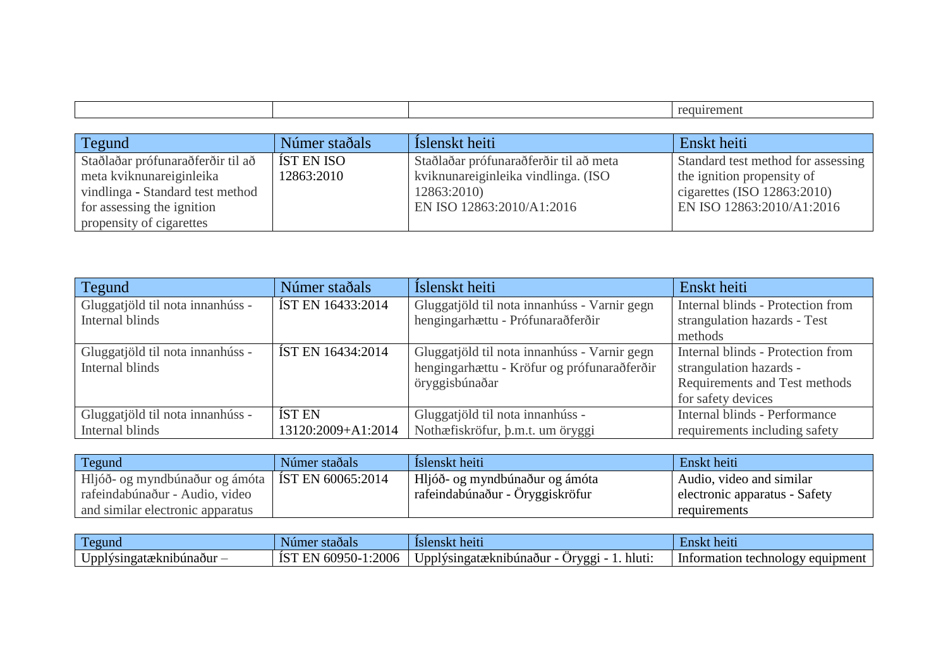|  | чісні<br>. |
|--|------------|
|  |            |

| Tegund                            | Númer staðals | Islenskt heiti                         | Enskt heiti                        |
|-----------------------------------|---------------|----------------------------------------|------------------------------------|
| Staðlaðar prófunaraðferðir til að | ÍST EN ISO    | Staðlaðar prófunaraðferðir til að meta | Standard test method for assessing |
| meta kviknunareiginleika          | 12863:2010    | kviknunareiginleika vindlinga. (ISO    | the ignition propensity of         |
| vindlinga - Standard test method  |               | 12863:2010)                            | cigarettes (ISO $12863:2010$ )     |
| for assessing the ignition        |               | EN ISO 12863:2010/A1:2016              | EN ISO 12863:2010/A1:2016          |
| propensity of cigarettes          |               |                                        |                                    |

| Tegund                           | Númer staðals            | Íslenskt heiti                               | Enskt heiti                       |
|----------------------------------|--------------------------|----------------------------------------------|-----------------------------------|
| Gluggatjöld til nota innanhúss - | <b>ÍST EN 16433:2014</b> | Gluggatjöld til nota innanhúss - Varnir gegn | Internal blinds - Protection from |
| Internal blinds                  |                          | hengingarhættu - Prófunaraðferðir            | strangulation hazards - Test      |
|                                  |                          |                                              | methods                           |
| Gluggatjöld til nota innanhúss - | IST EN 16434:2014        | Gluggatjöld til nota innanhúss - Varnir gegn | Internal blinds - Protection from |
| Internal blinds                  |                          | hengingarhættu - Kröfur og prófunaraðferðir  | strangulation hazards -           |
|                                  |                          | öryggisbúnaðar                               | Requirements and Test methods     |
|                                  |                          |                                              | for safety devices                |
| Gluggatjöld til nota innanhúss - | <b>ÍST EN</b>            | Gluggatjöld til nota innanhúss -             | Internal blinds - Performance     |
| Internal blinds                  | 13120:2009+A1:2014       | Nothæfiskröfur, þ.m.t. um öryggi             | requirements including safety     |

| Tegund                                             | Númer staðals | Islenskt heiti                  | Enskt heiti                   |
|----------------------------------------------------|---------------|---------------------------------|-------------------------------|
| Hljóð- og myndbúnaður og ámóta   IST EN 60065:2014 |               | Hljóð- og myndbúnaður og ámóta  | Audio, video and similar      |
| rafeindabúnaður - Audio, video                     |               | rafeindabúnaður - Öryggiskröfur | electronic apparatus - Safety |
| and similar electronic apparatus                   |               |                                 | requirements                  |

| $\overline{ }$                                                 | stadals                                                              | lslenski                                                                          | heit                                                      |
|----------------------------------------------------------------|----------------------------------------------------------------------|-----------------------------------------------------------------------------------|-----------------------------------------------------------|
| Tegund                                                         | Numei                                                                | heiti                                                                             | ±nskt                                                     |
| $\bullet$ $\bullet$<br>/singatæknibúnaður<br>Jppl <sup>r</sup> | 2006<br>$\sim$ $\sim$ $\sim$ $\sim$<br>-~-<br>. בו ורי<br>609<br>. . | $\bullet$ $\bullet$<br>Jpplý′<br>hluti<br>- vsingatæknibúnaður -<br><b>Orvggi</b> | pment<br>rorm<br>chno<br>, equir<br>Info<br>nation<br>,,, |